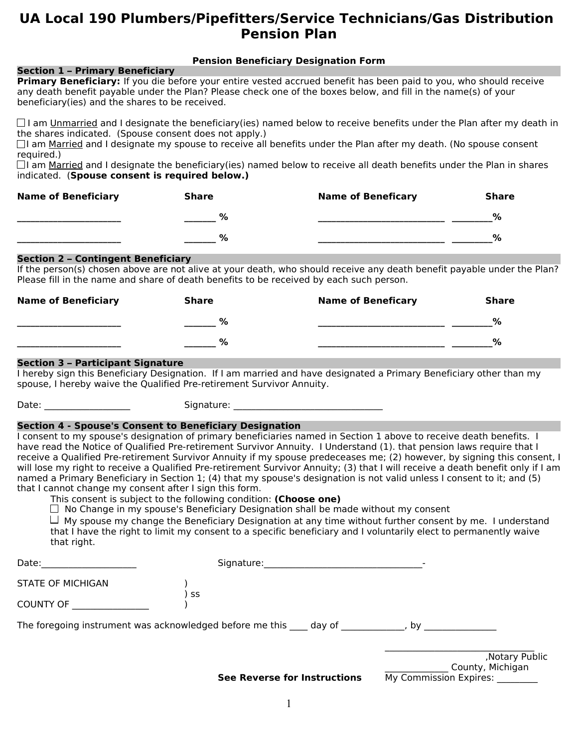# **UA Local 190 Plumbers/Pipefitters/Service Technicians/Gas Distribution Pension Plan**

# **Pension Beneficiary Designation Form**

## **Section 1 – Primary Beneficiary**

**Primary Beneficiary:** If you die before your entire vested accrued benefit has been paid to you, who should receive any death benefit payable under the Plan? Please check one of the boxes below, and fill in the name(s) of your beneficiary(ies) and the shares to be received.

 $\Box$  I am Unmarried and I designate the beneficiary(ies) named below to receive benefits under the Plan after my death in the shares indicated. (Spouse consent does not apply.)

 $\Box$ I am Married and I designate my spouse to receive all benefits under the Plan after my death. (No spouse consent required.)

 $\Box$ I am Married and I designate the beneficiary(ies) named below to receive all death benefits under the Plan in shares indicated. (**Spouse consent is required below.)**

| <b>Name of Beneficiary</b> | <b>Share</b> | <b>Name of Beneficary</b> | Share         |
|----------------------------|--------------|---------------------------|---------------|
|                            | %            |                           | $\frac{6}{6}$ |
|                            | %            |                           | %             |

### **Section 2 – Contingent Beneficiary**

If the person(s) chosen above are not alive at your death, who should receive any death benefit payable under the Plan? Please fill in the name and share of death benefits to be received by each such person.

| <b>Name of Beneficiary</b> | Share | <b>Name of Beneficary</b> | <b>Share</b> |
|----------------------------|-------|---------------------------|--------------|
|                            | %     |                           | $\%$         |
|                            | %     |                           | %            |

# **Section 3 – Participant Signature**

I hereby sign this Beneficiary Designation. If I am married and have designated a Primary Beneficiary other than my spouse, I hereby waive the Qualified Pre-retirement Survivor Annuity.

Date: \_\_\_\_\_\_\_\_\_\_\_\_\_\_\_\_\_\_\_ Signature: \_\_\_\_\_\_\_\_\_\_\_\_\_\_\_\_\_\_\_\_\_\_\_\_\_\_\_\_\_\_\_\_\_

## **Section 4 - Spouse's Consent to Beneficiary Designation**

I consent to my spouse's designation of primary beneficiaries named in Section 1 above to receive death benefits. I have read the Notice of Qualified Pre-retirement Survivor Annuity. I Understand (1). that pension laws require that I receive a Qualified Pre-retirement Survivor Annuity if my spouse predeceases me; (2) however, by signing this consent, I will lose my right to receive a Qualified Pre-retirement Survivor Annuity; (3) that I will receive a death benefit only if I am named a Primary Beneficiary in Section 1; (4) that my spouse's designation is not valid unless I consent to it; and (5) that I cannot change my consent after I sign this form.

This consent is subject to the following condition: **(Choose one)**

 $\Box$  No Change in my spouse's Beneficiary Designation shall be made without my consent

 $\Box$  My spouse my change the Beneficiary Designation at any time without further consent by me. I understand that I have the right to limit my consent to a specific beneficiary and I voluntarily elect to permanently waive that right.

| Date:                    | Signature:                                                      |                                                               |
|--------------------------|-----------------------------------------------------------------|---------------------------------------------------------------|
| <b>STATE OF MICHIGAN</b> |                                                                 |                                                               |
| <b>COUNTY OF</b>         | SS                                                              |                                                               |
|                          | The foregoing instrument was acknowledged before me this day of | . bv                                                          |
|                          | <b>See Reverse for Instructions</b>                             | , Notary Public<br>County, Michigan<br>My Commission Expires: |